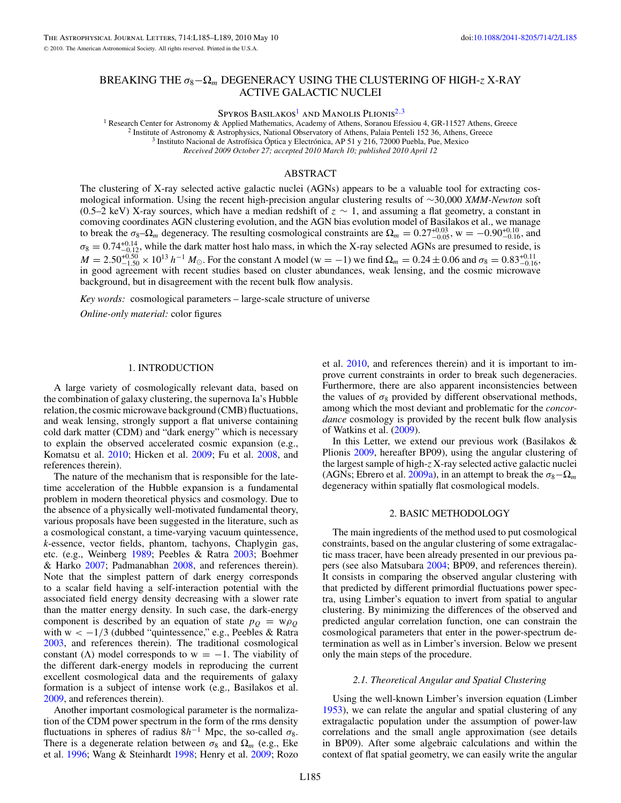# BREAKING THE *σ*8−Ω*<sup>m</sup>* DEGENERACY USING THE CLUSTERING OF HIGH-*z* X-RAY ACTIVE GALACTIC NUCLEI

Spyros Basilakos<sup>1</sup> and Manolis Plionis<sup>2,3</sup>

<sup>1</sup> Research Center for Astronomy & Applied Mathematics, Academy of Athens, Soranou Efessiou 4, GR-11527 Athens, Greece<br><sup>2</sup> Institute of Astronomy & Astrophysics, National Observatory of Athens, Palaia Penteli 152 36, Ath *Received 2009 October 27; accepted 2010 March 10; published 2010 April 12*

### ABSTRACT

The clustering of X-ray selected active galactic nuclei (AGNs) appears to be a valuable tool for extracting cosmological information. Using the recent high-precision angular clustering results of ∼30,000 *XMM-Newton* soft (0.5–2 keV) X-ray sources, which have a median redshift of *z* ∼ 1, and assuming a flat geometry, a constant in comoving coordinates AGN clustering evolution, and the AGN bias evolution model of Basilakos et al., we manage to break the  $\sigma_8 - \Omega_m$  degeneracy. The resulting cosmological constraints are  $\Omega_m = 0.27^{+0.03}_{-0.05}$ , w =  $-0.90^{+0.10}_{-0.16}$ , and  $\sigma_8 = 0.74_{-0.12}^{+0.14}$ , while the dark matter host halo mass, in which the X-ray selected AGNs are presumed to reside, is  $M = 2.50^{+0.50}_{-1.50} \times 10^{13} h^{-1} M_{\odot}$ . For the constant  $\Lambda$  model (w = -1) we find  $\Omega_m = 0.24 \pm 0.06$  and  $\sigma_8 = 0.83^{+0.11}_{-0.16}$ , in good agreement with recent studies based on cluster abundances, weak lensing, an background, but in disagreement with the recent bulk flow analysis.

*Key words:* cosmological parameters – large-scale structure of universe *Online-only material:* color figures

## 1. INTRODUCTION

A large variety of cosmologically relevant data, based on the combination of galaxy clustering, the supernova Ia's Hubble relation, the cosmic microwave background (CMB) fluctuations, and weak lensing, strongly support a flat universe containing cold dark matter (CDM) and "dark energy" which is necessary to explain the observed accelerated cosmic expansion (e.g., Komatsu et al. [2010;](#page-4-0) Hicken et al. [2009;](#page-4-0) Fu et al. [2008,](#page-3-0) and references therein).

The nature of the mechanism that is responsible for the latetime acceleration of the Hubble expansion is a fundamental problem in modern theoretical physics and cosmology. Due to the absence of a physically well-motivated fundamental theory, various proposals have been suggested in the literature, such as a cosmological constant, a time-varying vacuum quintessence, *k*-essence, vector fields, phantom, tachyons, Chaplygin gas, etc. (e.g., Weinberg [1989;](#page-4-0) Peebles & Ratra [2003;](#page-4-0) Boehmer & Harko [2007;](#page-3-0) Padmanabhan [2008,](#page-4-0) and references therein). Note that the simplest pattern of dark energy corresponds to a scalar field having a self-interaction potential with the associated field energy density decreasing with a slower rate than the matter energy density. In such case, the dark-energy component is described by an equation of state  $p<sub>Q</sub> = w \rho<sub>Q</sub>$ with w *<* −1*/*3 (dubbed "quintessence," e.g., Peebles & Ratra [2003,](#page-4-0) and references therein). The traditional cosmological constant ( $\Lambda$ ) model corresponds to w = -1. The viability of the different dark-energy models in reproducing the current excellent cosmological data and the requirements of galaxy formation is a subject of intense work (e.g., Basilakos et al. [2009,](#page-3-0) and references therein).

Another important cosmological parameter is the normalization of the CDM power spectrum in the form of the rms density fluctuations in spheres of radius  $8h^{-1}$  Mpc, the so-called  $\sigma_8$ . There is a degenerate relation between  $\sigma_8$  and  $\Omega_m$  (e.g., Eke et al. [1996;](#page-3-0) Wang & Steinhardt [1998;](#page-4-0) Henry et al. [2009;](#page-4-0) Rozo et al. [2010,](#page-4-0) and references therein) and it is important to improve current constraints in order to break such degeneracies. Furthermore, there are also apparent inconsistencies between the values of  $\sigma_8$  provided by different observational methods, among which the most deviant and problematic for the *concordance* cosmology is provided by the recent bulk flow analysis of Watkins et al. [\(2009\)](#page-4-0).

In this Letter, we extend our previous work (Basilakos & Plionis [2009,](#page-3-0) hereafter BP09), using the angular clustering of the largest sample of high-*z* X-ray selected active galactic nuclei (AGNs; Ebrero et al. [2009a\)](#page-3-0), in an attempt to break the  $\sigma_8-\Omega_m$ degeneracy within spatially flat cosmological models.

#### 2. BASIC METHODOLOGY

The main ingredients of the method used to put cosmological constraints, based on the angular clustering of some extragalactic mass tracer, have been already presented in our previous papers (see also Matsubara [2004;](#page-4-0) BP09, and references therein). It consists in comparing the observed angular clustering with that predicted by different primordial fluctuations power spectra, using Limber's equation to invert from spatial to angular clustering. By minimizing the differences of the observed and predicted angular correlation function, one can constrain the cosmological parameters that enter in the power-spectrum determination as well as in Limber's inversion. Below we present only the main steps of the procedure.

### *2.1. Theoretical Angular and Spatial Clustering*

Using the well-known Limber's inversion equation (Limber [1953\)](#page-4-0), we can relate the angular and spatial clustering of any extragalactic population under the assumption of power-law correlations and the small angle approximation (see details in BP09). After some algebraic calculations and within the context of flat spatial geometry, we can easily write the angular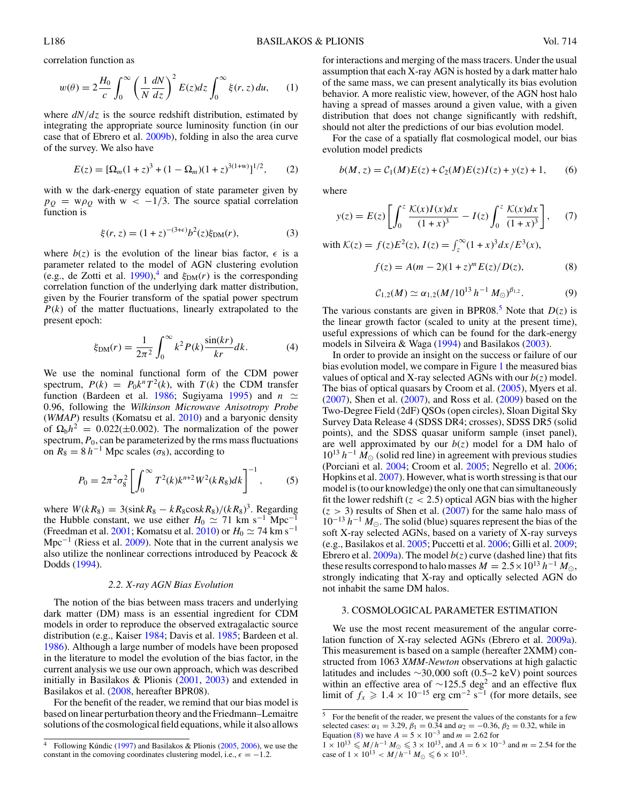correlation function as

$$
w(\theta) = 2\frac{H_0}{c} \int_0^\infty \left(\frac{1}{N}\frac{dN}{dz}\right)^2 E(z)dz \int_0^\infty \xi(r,z)du,\qquad(1)
$$

where  $dN/dz$  is the source redshift distribution, estimated by integrating the appropriate source luminosity function (in our case that of Ebrero et al. [2009b\)](#page-3-0), folding in also the area curve of the survey. We also have

$$
E(z) = [\Omega_m(1+z)^3 + (1-\Omega_m)(1+z)^{3(1+w)}]^{1/2},
$$
 (2)

with w the dark-energy equation of state parameter given by  $p<sub>O</sub> = w\rho<sub>O</sub>$  with  $w < -1/3$ . The source spatial correlation function is

$$
\xi(r, z) = (1 + z)^{-(3 + \epsilon)} b^2(z) \xi_{\text{DM}}(r),
$$
 (3)

where  $b(z)$  is the evolution of the linear bias factor,  $\epsilon$  is a parameter related to the model of AGN clustering evolution (e.g., de Zotti et al.  $1990$ ),<sup>4</sup> and  $\xi_{DM}(r)$  is the corresponding correlation function of the underlying dark matter distribution, given by the Fourier transform of the spatial power spectrum *P*(*k*) of the matter fluctuations, linearly extrapolated to the present epoch:

$$
\xi_{\rm DM}(r) = \frac{1}{2\pi^2} \int_0^\infty k^2 P(k) \frac{\sin(kr)}{kr} dk.
$$
 (4)

We use the nominal functional form of the CDM power spectrum,  $P(k) = P_0 k^n T^2(k)$ , with  $T(k)$  the CDM transfer function (Bardeen et al. [1986;](#page-3-0) Sugiyama [1995\)](#page-4-0) and  $n \simeq$ 0*.*96, following the *Wilkinson Microwave Anisotropy Probe* (*WMAP*) results (Komatsu et al. [2010\)](#page-4-0) and a baryonic density of  $\Omega_b h^2 = 0.022(\pm 0.002)$ . The normalization of the power spectrum,  $P_0$ , can be parameterized by the rms mass fluctuations on  $R_8 = 8 h^{-1}$  Mpc scales ( $\sigma_8$ ), according to

$$
P_0 = 2\pi^2 \sigma_8^2 \left[ \int_0^\infty T^2(k) k^{n+2} W^2(k R_8) dk \right]^{-1}, \tag{5}
$$

where  $W(kR_8) = 3(\sin kR_8 - kR_8 \cos kR_8)/(kR_8)^3$ . Regarding the Hubble constant, we use either  $H_0 \simeq 71$  km s<sup>-1</sup> Mpc<sup>−1</sup> (Freedman et al. [2001;](#page-3-0) Komatsu et al. [2010\)](#page-4-0) or *H*<sub>0</sub>  $\simeq$  74 km s<sup>-1</sup> Mpc<sup> $-1$ </sup> (Riess et al. [2009\)](#page-4-0). Note that in the current analysis we also utilize the nonlinear corrections introduced by Peacock & Dodds [\(1994\)](#page-4-0).

#### *2.2. X-ray AGN Bias Evolution*

The notion of the bias between mass tracers and underlying dark matter (DM) mass is an essential ingredient for CDM models in order to reproduce the observed extragalactic source distribution (e.g., Kaiser [1984;](#page-4-0) Davis et al. [1985;](#page-3-0) Bardeen et al. [1986\)](#page-3-0). Although a large number of models have been proposed in the literature to model the evolution of the bias factor, in the current analysis we use our own approach, which was described initially in Basilakos & Plionis [\(2001,](#page-3-0) [2003\)](#page-3-0) and extended in Basilakos et al. [\(2008,](#page-3-0) hereafter BPR08).

For the benefit of the reader, we remind that our bias model is based on linear perturbation theory and the Friedmann–Lemaitre solutions of the cosmological field equations, while it also allows

for interactions and merging of the mass tracers. Under the usual assumption that each X-ray AGN is hosted by a dark matter halo of the same mass, we can present analytically its bias evolution behavior. A more realistic view, however, of the AGN host halo having a spread of masses around a given value, with a given distribution that does not change significantly with redshift, should not alter the predictions of our bias evolution model.

For the case of a spatially flat cosmological model, our bias evolution model predicts

$$
b(M, z) = C_1(M)E(z) + C_2(M)E(z)I(z) + y(z) + 1,
$$
 (6)

where

$$
y(z) = E(z) \left[ \int_0^z \frac{\mathcal{K}(x)I(x)dx}{(1+x)^3} - I(z) \int_0^z \frac{\mathcal{K}(x)dx}{(1+x)^3} \right], \quad (7)
$$

with  $\mathcal{K}(z) = f(z)E^2(z), I(z) = \int_z^{\infty} (1+x)^3 dx/E^3(x),$ 

$$
f(z) = A(m - 2)(1 + z)^m E(z) / D(z),
$$
 (8)

$$
C_{1,2}(M) \simeq \alpha_{1,2}(M/10^{13} \, h^{-1} \, M_{\odot})^{\beta_{1,2}}.\tag{9}
$$

The various constants are given in BPR08.<sup>5</sup> Note that  $D(z)$  is the linear growth factor (scaled to unity at the present time), useful expressions of which can be found for the dark-energy models in Silveira & Waga [\(1994\)](#page-4-0) and Basilakos [\(2003\)](#page-3-0).

In order to provide an insight on the success or failure of our bias evolution model, we compare in Figure [1](#page-2-0) the measured bias values of optical and X-ray selected AGNs with our  $b(z)$  model. The bias of optical quasars by Croom et al. [\(2005\)](#page-3-0), Myers et al. [\(2007\)](#page-4-0), Shen et al. [\(2007\)](#page-4-0), and Ross et al. [\(2009\)](#page-4-0) based on the Two-Degree Field (2dF) QSOs (open circles), Sloan Digital Sky Survey Data Release 4 (SDSS DR4; crosses), SDSS DR5 (solid points), and the SDSS quasar uniform sample (inset panel), are well approximated by our  $b(z)$  model for a DM halo of  $10^{13} h^{-1} M_{\odot}$  (solid red line) in agreement with previous studies (Porciani et al. [2004;](#page-4-0) Croom et al. [2005;](#page-3-0) Negrello et al. [2006;](#page-4-0) Hopkins et al. [2007\)](#page-4-0). However, what is worth stressing is that our model is (to our knowledge) the only one that can simultaneously fit the lower redshift  $(z < 2.5)$  optical AGN bias with the higher  $(z > 3)$  results of Shen et al.  $(2007)$  for the same halo mass of 10<sup>−13</sup> *h*<sup>−1</sup> *M*<sub>☉</sub>. The solid (blue) squares represent the bias of the soft X-ray selected AGNs, based on a variety of X-ray surveys (e.g., Basilakos et al. [2005;](#page-3-0) Puccetti et al. [2006;](#page-4-0) Gilli et al. [2009;](#page-4-0) Ebrero et al.  $2009a$ ). The model  $b(z)$  curve (dashed line) that fits these results correspond to halo masses  $M = 2.5 \times 10^{13} h^{-1} M_{\odot}$ , strongly indicating that X-ray and optically selected AGN do not inhabit the same DM halos.

### 3. COSMOLOGICAL PARAMETER ESTIMATION

We use the most recent measurement of the angular correlation function of X-ray selected AGNs (Ebrero et al. [2009a\)](#page-3-0). This measurement is based on a sample (hereafter 2XMM) constructed from 1063 *XMM-Newton* observations at high galactic latitudes and includes ∼30*,*000 soft (0.5–2 keV) point sources within an effective area of ∼125.5 deg<sup>2</sup> and an effective flux limit of  $f_x \geq 1.4 \times 10^{-15}$  erg cm<sup>-2</sup> s<sup>-1</sup> (for more details, see

<sup>&</sup>lt;sup>4</sup> Following Kúndic ([1997\)](#page-4-0) and Basilakos & Plionis [\(2005,](#page-3-0) [2006\)](#page-3-0), we use the constant in the comoving coordinates clustering model, i.e.,  $\epsilon = -1.2$ .

<sup>5</sup> For the benefit of the reader, we present the values of the constants for a few selected cases:  $α_1 = 3.29$ ,  $β_1 = 0.34$  and  $α_2 = -0.36$ ,  $β_2 = 0.32$ , while in Equation (8) we have  $A = 5 \times 10^{-3}$  and  $m = 2.62$  for

 $1 \times 10^{13} \leq M/h^{-1} M_{\odot} \leq 3 \times 10^{13}$ , and  $A = 6 \times 10^{-3}$  and  $m = 2.54$  for the case of  $1 \times 10^{13} < M/h^{-1} M_{\odot} \leq 6 \times 10^{13}$ .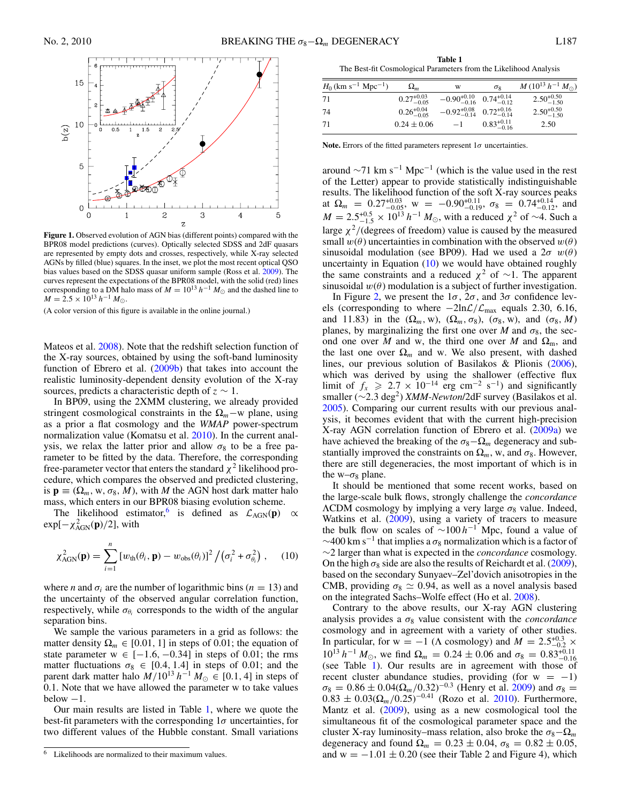<span id="page-2-0"></span>

**Figure 1.** Observed evolution of AGN bias (different points) compared with the BPR08 model predictions (curves). Optically selected SDSS and 2dF quasars are represented by empty dots and crosses, respectively, while X-ray selected AGNs by filled (blue) squares. In the inset, we plot the most recent optical QSO bias values based on the SDSS quasar uniform sample (Ross et al. [2009\)](#page-4-0). The curves represent the expectations of the BPR08 model, with the solid (red) lines corresponding to a DM halo mass of  $M = 10^{13} h^{-1} M_{\odot}$  and the dashed line to  $M = 2.5 \times 10^{13} h^{-1} M_{\odot}.$ 

(A color version of this figure is available in the online journal.)

Mateos et al. [2008\)](#page-4-0). Note that the redshift selection function of the X-ray sources, obtained by using the soft-band luminosity function of Ebrero et al.  $(2009b)$  that takes into account the realistic luminosity-dependent density evolution of the X-ray sources, predicts a characteristic depth of  $z \sim 1$ .

In BP09, using the 2XMM clustering, we already provided stringent cosmological constraints in the  $\Omega_m$  –w plane, using as a prior a flat cosmology and the *WMAP* power-spectrum normalization value (Komatsu et al. [2010\)](#page-4-0). In the current analysis, we relax the latter prior and allow  $\sigma_8$  to be a free parameter to be fitted by the data. Therefore, the corresponding free-parameter vector that enters the standard  $\chi^2$  likelihood procedure, which compares the observed and predicted clustering, is  $\mathbf{p} \equiv (\Omega_m, w, \sigma_8, M)$ , with *M* the AGN host dark matter halo mass, which enters in our BPR08 biasing evolution scheme.

The likelihood estimator,<sup>6</sup> is defined as  $\mathcal{L}_{AGN}(\mathbf{p}) \propto$  $\exp[-\chi^2_{AGN}(\mathbf{p})/2]$ , with

$$
\chi_{\text{AGN}}^2(\mathbf{p}) = \sum_{i=1}^n \left[ w_{\text{th}}(\theta_i, \mathbf{p}) - w_{\text{obs}}(\theta_i) \right]^2 / \left( \sigma_i^2 + \sigma_{\theta_i}^2 \right), \quad (10)
$$

where *n* and  $\sigma_i$  are the number of logarithmic bins ( $n = 13$ ) and the uncertainty of the observed angular correlation function, respectively, while  $\sigma_{\theta_i}$  corresponds to the width of the angular separation bins.

We sample the various parameters in a grid as follows: the matter density  $\Omega_m \in [0.01, 1]$  in steps of 0.01; the equation of state parameter  $w \in [-1.6, -0.34]$  in steps of 0.01; the rms matter fluctuations  $\sigma_8 \in [0.4, 1.4]$  in steps of 0.01; and the parent dark matter halo  $M/10^{13} h^{-1} M_{\odot} \in [0.1, 4]$  in steps of 0.1. Note that we have allowed the parameter w to take values  $below -1.$ 

Our main results are listed in Table 1, where we quote the best-fit parameters with the corresponding 1*σ* uncertainties, for two different values of the Hubble constant. Small variations

**Table 1** The Best-fit Cosmological Parameters from the Likelihood Analysis

| $H_0$ (km s <sup>-1</sup> Mpc <sup>-1</sup> ) | $\Omega_m$             | w                                              | $\sigma$ <sub>8</sub>  | $M (10^{13} h^{-1} M_{\odot})$ |
|-----------------------------------------------|------------------------|------------------------------------------------|------------------------|--------------------------------|
| 71                                            | $0.27^{+0.03}_{-0.05}$ | $-0.90_{-0.16}^{+0.10}$ $0.74_{-0.12}^{+0.14}$ |                        | $2.50^{+0.50}_{-1.50}$         |
| 74                                            | $0.26_{-0.05}^{+0.04}$ | $-0.92_{-0.14}^{+0.08}$ $0.72_{-0.14}^{+0.16}$ |                        | $2.50_{-1.50}^{+0.50}$         |
| 71                                            | $0.24 \pm 0.06$        | $-1$                                           | $0.83^{+0.11}_{-0.16}$ | 2.50                           |

**Note.** Errors of the fitted parameters represent 1*σ* uncertainties.

around  $\sim$ 71 km s<sup>-1</sup> Mpc<sup>-1</sup> (which is the value used in the rest of the Letter) appear to provide statistically indistinguishable results. The likelihood function of the soft X-ray sources peaks at  $\Omega_m = 0.27^{+0.03}_{-0.05}$ , w =  $-0.90^{+0.11}_{-0.19}$ ,  $\sigma_8 = 0.74^{+0.14}_{-0.12}$ , and  $M = 2.5^{+0.5}_{-1.5} \times 10^{13} h^{-1} M_{\odot}$ , with a reduced  $\chi^2$  of ~4. Such a large  $\chi^2$ /(degrees of freedom) value is caused by the measured small  $w(\theta)$  uncertainties in combination with the observed  $w(\theta)$ sinusoidal modulation (see BP09). Had we used a  $2\sigma w(\theta)$ uncertainty in Equation  $(10)$  we would have obtained roughly the same constraints and a reduced  $\chi^2$  of ~1. The apparent sinusoidal  $w(\theta)$  modulation is a subject of further investigation.

In Figure [2,](#page-3-0) we present the  $1\sigma$ ,  $2\sigma$ , and  $3\sigma$  confidence levels (corresponding to where −2lnL*/*Lmax equals 2.30, 6.16, and 11.83) in the  $(\Omega_m, w)$ ,  $(\Omega_m, \sigma_8)$ ,  $(\sigma_8, w)$ , and  $(\sigma_8, M)$ planes, by marginalizing the first one over *M* and  $\sigma_8$ , the second one over *M* and w, the third one over *M* and  $\Omega_m$ , and the last one over  $\Omega_m$  and w. We also present, with dashed lines, our previous solution of Basilakos & Plionis [\(2006\)](#page-3-0), which was derived by using the shallower (effective flux limit of  $f_x \ge 2.7 \times 10^{-14}$  erg cm<sup>-2</sup> s<sup>-1</sup>) and significantly smaller (∼2*.*3 deg2) *XMM-Newton*/2dF survey (Basilakos et al. [2005\)](#page-3-0). Comparing our current results with our previous analysis, it becomes evident that with the current high-precision X-ray AGN correlation function of Ebrero et al. [\(2009a\)](#page-3-0) we have achieved the breaking of the  $\sigma_8-\Omega_m$  degeneracy and substantially improved the constraints on  $\Omega_m$ , w, and  $\sigma_8$ . However, there are still degeneracies, the most important of which is in the w– $\sigma_8$  plane.

It should be mentioned that some recent works, based on the large-scale bulk flows, strongly challenge the *concordance*  $\Lambda$ CDM cosmology by implying a very large  $\sigma_8$  value. Indeed, Watkins et al. [\(2009\)](#page-4-0), using a variety of tracers to measure the bulk flow on scales of <sup>∼</sup><sup>100</sup> *<sup>h</sup>*−<sup>1</sup> Mpc, found a value of  $\sim$ 400 km s<sup>-1</sup> that implies a  $\sigma_8$  normalization which is a factor of ∼2 larger than what is expected in the *concordance* cosmology. On the high  $\sigma_8$  side are also the results of Reichardt et al. [\(2009\)](#page-4-0), based on the secondary Sunyaev–Zel'dovich anisotropies in the CMB, providing  $\sigma_8 \simeq 0.94$ , as well as a novel analysis based on the integrated Sachs–Wolfe effect (Ho et al. [2008\)](#page-4-0).

Contrary to the above results, our X-ray AGN clustering analysis provides a  $\sigma_8$  value consistent with the *concordance* cosmology and in agreement with a variety of other studies. In particular, for  $w = -1$  ( $\Lambda$  cosmology) and  $M = 2.5^{+0.3}_{-0.2}$  ×  $10^{13} h^{-1} M_{\odot}$ , we find  $\Omega_m = 0.24 \pm 0.06$  and  $\sigma_8 = 0.83^{+0.11}_{-0.16}$ (see Table 1). Our results are in agreement with those of recent cluster abundance studies, providing (for  $w = -1$ )  $\sigma_8 = 0.86 \pm 0.04(\Omega_m/0.32)^{-0.3}$  (Henry et al. [2009\)](#page-4-0) and  $\sigma_8 =$  $0.83 \pm 0.03(\Omega_m/0.25)^{-0.41}$  (Rozo et al. [2010\)](#page-4-0). Furthermore, Mantz et al. [\(2009\)](#page-4-0), using as a new cosmological tool the simultaneous fit of the cosmological parameter space and the cluster X-ray luminosity–mass relation, also broke the  $\sigma_8-\Omega_m$ degeneracy and found  $\Omega_m = 0.23 \pm 0.04$ ,  $\sigma_8 = 0.82 \pm 0.05$ , and  $w = -1.01 \pm 0.20$  (see their Table 2 and Figure 4), which

 $\overline{6}$  Likelihoods are normalized to their maximum values.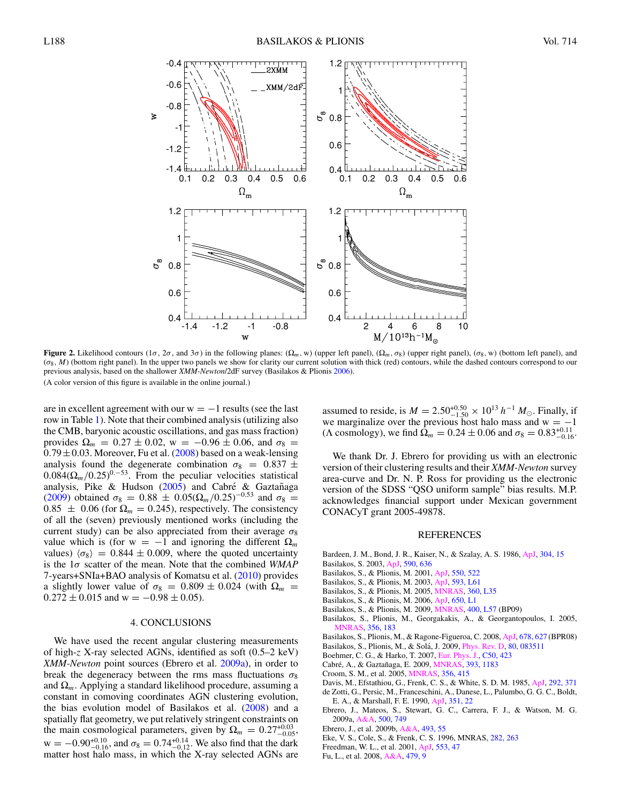<span id="page-3-0"></span>

**Figure 2.** Likelihood contours (1*σ*, 2*σ*, and 3*σ*) in the following planes: ( $\Omega_m$ , w) (upper left panel), ( $\Omega_m$ ,  $\sigma_8$ ) (upper right panel), ( $\sigma_8$ , w) (bottom left panel), and (*σ*8*, M*) (bottom right panel). In the upper two panels we show for clarity our current solution with thick (red) contours, while the dashed contours correspond to our previous analysis, based on the shallower *XMM-Newton*/2dF survey (Basilakos & Plionis 2006).

(A color version of this figure is available in the online journal.)

are in excellent agreement with our  $w = -1$  results (see the last row in Table [1\)](#page-2-0). Note that their combined analysis (utilizing also the CMB, baryonic acoustic oscillations, and gas mass fraction) provides Ω*<sup>m</sup>* = 0*.*27 ± 0*.*02, w = −0*.*96 ± 0*.*06, and *σ*<sup>8</sup> =  $0.79 \pm 0.03$ . Moreover, Fu et al. (2008) based on a weak-lensing analysis found the degenerate combination  $\sigma_8 = 0.837 \pm$  $0.084(\Omega_m/0.25)^{0.-53}$ . From the peculiar velocities statistical analysis, Pike & Hudson  $(2005)$  and Cabré & Gaztañaga (2009) obtained  $\sigma_8 = 0.88 \pm 0.05(\Omega_m/0.25)^{-0.53}$  and  $\sigma_8 =$  $0.85 \pm 0.06$  (for  $\Omega_m = 0.245$ ), respectively. The consistency of all the (seven) previously mentioned works (including the current study) can be also appreciated from their average  $\sigma_8$ value which is (for  $w = -1$  and ignoring the different  $\Omega_m$ values)  $\langle \sigma_8 \rangle = 0.844 \pm 0.009$ , where the quoted uncertainty is the 1*σ* scatter of the mean. Note that the combined *WMAP* 7-years+SNIa+BAO analysis of Komatsu et al. [\(2010\)](#page-4-0) provides a slightly lower value of  $\sigma_8 = 0.809 \pm 0.024$  (with  $\Omega_m =$  $0.272 \pm 0.015$  and w =  $-0.98 \pm 0.05$ ).

#### 4. CONCLUSIONS

We have used the recent angular clustering measurements of high-*z* X-ray selected AGNs, identified as soft (0.5–2 keV) *XMM-Newton* point sources (Ebrero et al. 2009a), in order to break the degeneracy between the rms mass fluctuations  $\sigma_8$ and  $\Omega_m$ . Applying a standard likelihood procedure, assuming a constant in comoving coordinates AGN clustering evolution, the bias evolution model of Basilakos et al. (2008) and a spatially flat geometry, we put relatively stringent constraints on the main cosmological parameters, given by  $\Omega_m = 0.27^{+0.03}_{-0.05}$ ,  $w = -0.90_{-0.16}^{+0.10}$ , and  $\sigma_8 = 0.74_{-0.12}^{+0.14}$ . We also find that the dark matter host halo mass, in which the X-ray selected AGNs are

assumed to reside, is  $M = 2.50^{+0.50}_{-1.50} \times 10^{13} h^{-1} M_{\odot}$ . Finally, if we marginalize over the previous host halo mass and  $w = -1$ (Λ cosmology), we find  $\Omega_m = 0.24 \pm 0.06$  and  $\sigma_8 = 0.83^{+0.11}_{-0.16}$ .

We thank Dr. J. Ebrero for providing us with an electronic version of their clustering results and their *XMM-Newton* survey area-curve and Dr. N. P. Ross for providing us the electronic version of the SDSS "QSO uniform sample" bias results. M.P. acknowledges financial support under Mexican government CONACyT grant 2005-49878.

#### REFERENCES

- Bardeen, J. M., Bond, J. R., Kaiser, N., & Szalay, A. S. 1986, [ApJ,](http://dx.doi.org/10.1086/164143) [304, 15](http://adsabs.harvard.edu/abs/1986ApJ...304...15B) Basilakos, S. 2003, [ApJ,](http://dx.doi.org/10.1086/375154) [590, 636](http://adsabs.harvard.edu/abs/2003ApJ...590..636B)
- Basilakos, S., & Plionis, M. 2001, [ApJ,](http://dx.doi.org/10.1086/319797) [550, 522](http://adsabs.harvard.edu/abs/2001ApJ...550..522B)
- 
- Basilakos, S., & Plionis, M. 2003, [ApJ,](http://dx.doi.org/10.1086/378309) [593, L61](http://adsabs.harvard.edu/abs/2003ApJ...593L..61B)
- Basilakos, S., & Plionis, M. 2005, [MNRAS,](http://dx.doi.org/10.1111/j.1745-3933.2005.00041.x) [360, L35](http://adsabs.harvard.edu/abs/2005MNRAS.360L..35B)
- Basilakos, S., & Plionis, M. 2006, [ApJ,](http://dx.doi.org/10.1086/508660) [650, L1](http://adsabs.harvard.edu/abs/2006ApJ...650L...1B)
- Basilakos, S., & Plionis, M. 2009, [MNRAS,](http://dx.doi.org/10.1111/j.1745-3933.2009.00762.x) [400, L57](http://adsabs.harvard.edu/abs/2009MNRAS.400L..57B) (BP09)
- Basilakos, S., Plionis, M., Georgakakis, A., & Georgantopoulos, I. 2005, [MNRAS,](http://dx.doi.org/10.1111/j.1365-2966.2004.08432.x) [356, 183](http://adsabs.harvard.edu/abs/2005MNRAS.356..183B)
- Basilakos, S., Plionis, M., & Ragone-Figueroa, C. 2008, [ApJ,](http://dx.doi.org/10.1086/586725) [678, 627](http://adsabs.harvard.edu/abs/2008ApJ...678..627B) (BPR08)
- Basilakos, S., Plionis, M., & Solá, J. 2009, *[Phys. Rev. D,](http://dx.doi.org/10.1103/PhysRevD.80.083511) [80, 083511](http://adsabs.harvard.edu/abs/2009PhRvD..80h3511B)*
- Boehmer, C. G., & Harko, T. 2007, [Eur. Phys. J.,](http://dx.doi.org/10.1140/epjc/s10052-007-0210-1) [C50, 423](http://adsabs.harvard.edu/abs/2007EPJC...50..423B)
- Cabré, A., & Gaztañaga, E. 2009, *MNRAS*, [393, 1183](http://adsabs.harvard.edu/abs/2009MNRAS.393.1183C)
- Croom, S. M., et al. 2005, [MNRAS,](http://dx.doi.org/10.1111/j.1365-2966.2004.08379.x) [356, 415](http://adsabs.harvard.edu/abs/2005MNRAS.356..415C)
- Davis, M., Efstathiou, G., Frenk, C. S., & White, S. D. M. 1985, [ApJ,](http://dx.doi.org/10.1086/163168) [292, 371](http://adsabs.harvard.edu/abs/1985ApJ...292..371D)
- de Zotti, G., Persic, M., Franceschini, A., Danese, L., Palumbo, G. G. C., Boldt, E. A., & Marshall, F. E. 1990, [ApJ,](http://dx.doi.org/10.1086/168440) [351, 22](http://adsabs.harvard.edu/abs/1990ApJ...351...22D)
- Ebrero, J., Mateos, S., Stewart, G. C., Carrera, F. J., & Watson, M. G. 2009a, [A&A,](http://dx.doi.org/10.1051/0004-6361/200911670) [500, 749](http://adsabs.harvard.edu/abs/2009A&A...500..749E)
- Ebrero, J., et al. 2009b, [A&A,](http://dx.doi.org/10.1051/0004-6361:200810919) [493, 55](http://adsabs.harvard.edu/abs/2009A&A...493...55E)
- Eke, V. S., Cole, S., & Frenk, C. S. 1996, MNRAS, [282, 263](http://adsabs.harvard.edu/abs/1996MNRAS.282..263E)
- Freedman, W. L., et al. 2001, [ApJ,](http://dx.doi.org/10.1086/320638) [553, 47](http://adsabs.harvard.edu/abs/2001ApJ...553...47F)
- Fu, L., et al. 2008, [A&A,](http://dx.doi.org/10.1051/0004-6361:20078522) [479, 9](http://adsabs.harvard.edu/abs/2008A&A...479....9F)